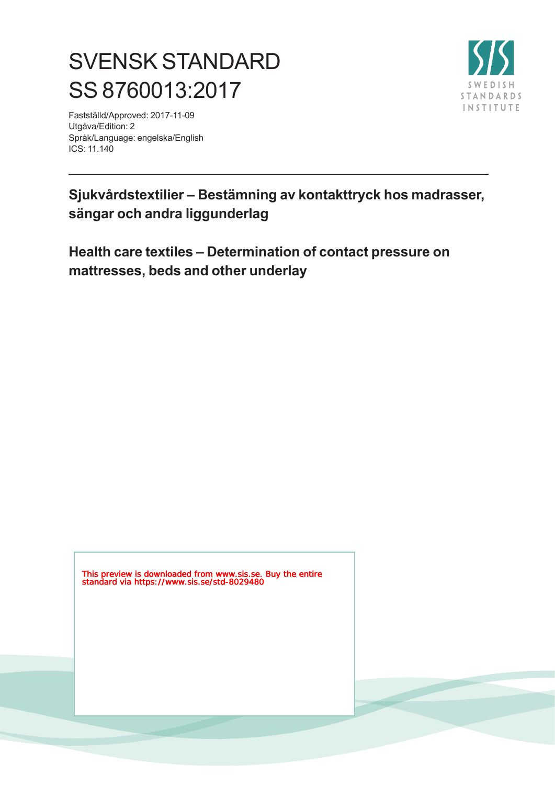# SVENSK STANDARD SS 8760013:2017

Fastställd/Approved: 2017-11-09 Utgåva/Edition: 2 Språk/Language: engelska/English ICS: 11.140



## **Sjukvårdstextilier – Bestämning av kontakttryck hos madrasser, sängar och andra liggunderlag**

**Health care textiles – Determination of contact pressure on mattresses, beds and other underlay**

This preview is downloaded from www.sis.se. Buy the entire standard via https://www.sis.se/std-8029480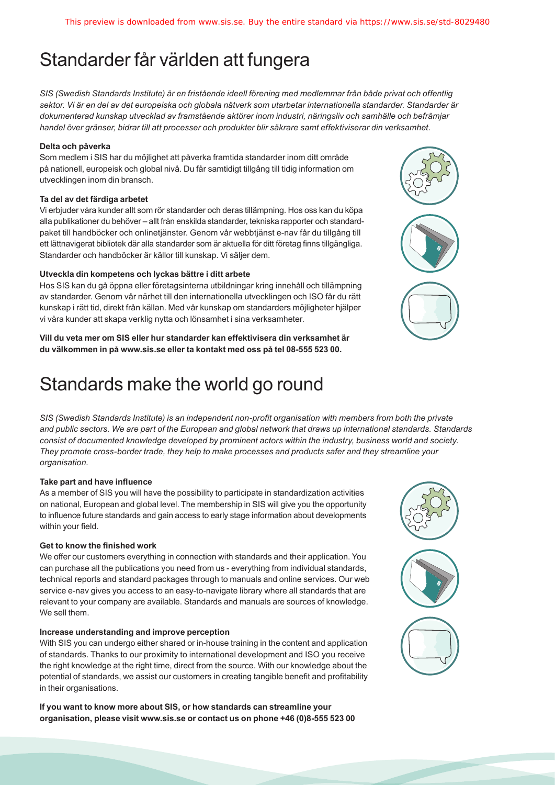## Standarder får världen att fungera

*SIS (Swedish Standards Institute) är en fristående ideell förening med medlemmar från både privat och offentlig sektor. Vi är en del av det europeiska och globala nätverk som utarbetar internationella standarder. Standarder är dokumenterad kunskap utvecklad av framstående aktörer inom industri, näringsliv och samhälle och befrämjar handel över gränser, bidrar till att processer och produkter blir säkrare samt effektiviserar din verksamhet.* 

#### **Delta och påverka**

Som medlem i SIS har du möjlighet att påverka framtida standarder inom ditt område på nationell, europeisk och global nivå. Du får samtidigt tillgång till tidig information om utvecklingen inom din bransch.

#### **Ta del av det färdiga arbetet**

Vi erbjuder våra kunder allt som rör standarder och deras tillämpning. Hos oss kan du köpa alla publikationer du behöver – allt från enskilda standarder, tekniska rapporter och standardpaket till handböcker och onlinetjänster. Genom vår webbtjänst e-nav får du tillgång till ett lättnavigerat bibliotek där alla standarder som är aktuella för ditt företag finns tillgängliga. Standarder och handböcker är källor till kunskap. Vi säljer dem.

#### **Utveckla din kompetens och lyckas bättre i ditt arbete**

Hos SIS kan du gå öppna eller företagsinterna utbildningar kring innehåll och tillämpning av standarder. Genom vår närhet till den internationella utvecklingen och ISO får du rätt kunskap i rätt tid, direkt från källan. Med vår kunskap om standarders möjligheter hjälper vi våra kunder att skapa verklig nytta och lönsamhet i sina verksamheter.

**Vill du veta mer om SIS eller hur standarder kan effektivisera din verksamhet är du välkommen in på www.sis.se eller ta kontakt med oss på tel 08-555 523 00.**

## Standards make the world go round

*SIS (Swedish Standards Institute) is an independent non-profit organisation with members from both the private and public sectors. We are part of the European and global network that draws up international standards. Standards consist of documented knowledge developed by prominent actors within the industry, business world and society. They promote cross-border trade, they help to make processes and products safer and they streamline your organisation.*

#### **Take part and have influence**

As a member of SIS you will have the possibility to participate in standardization activities on national, European and global level. The membership in SIS will give you the opportunity to influence future standards and gain access to early stage information about developments within your field.

#### **Get to know the finished work**

We offer our customers everything in connection with standards and their application. You can purchase all the publications you need from us - everything from individual standards, technical reports and standard packages through to manuals and online services. Our web service e-nav gives you access to an easy-to-navigate library where all standards that are relevant to your company are available. Standards and manuals are sources of knowledge. We sell them.

#### **Increase understanding and improve perception**

With SIS you can undergo either shared or in-house training in the content and application of standards. Thanks to our proximity to international development and ISO you receive the right knowledge at the right time, direct from the source. With our knowledge about the potential of standards, we assist our customers in creating tangible benefit and profitability in their organisations.

**If you want to know more about SIS, or how standards can streamline your organisation, please visit www.sis.se or contact us on phone +46 (0)8-555 523 00**



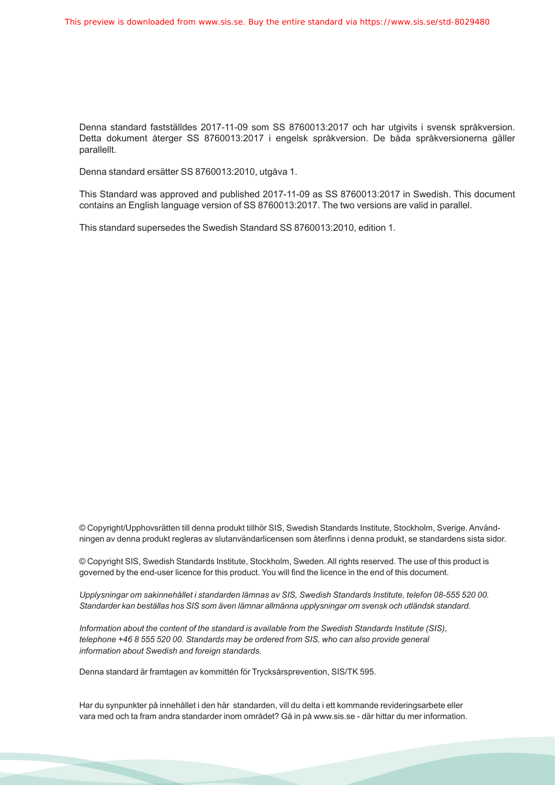Denna standard fastställdes 2017-11-09 som SS 8760013:2017 och har utgivits i svensk språkversion. Detta dokument återger SS 8760013:2017 i engelsk språkversion. De båda språkversionerna gäller parallellt.

Denna standard ersätter SS 8760013:2010, utgåva 1.

This Standard was approved and published 2017-11-09 as SS 8760013:2017 in Swedish. This document contains an English language version of SS 8760013:2017. The two versions are valid in parallel.

This standard supersedes the Swedish Standard SS 8760013:2010, edition 1.

© Copyright/Upphovsrätten till denna produkt tillhör SIS, Swedish Standards Institute, Stockholm, Sverige. Användningen av denna produkt regleras av slutanvändarlicensen som återfinns i denna produkt, se standardens sista sidor.

© Copyright SIS, Swedish Standards Institute, Stockholm, Sweden. All rights reserved. The use of this product is governed by the end-user licence for this product. You will find the licence in the end of this document.

*Upplysningar om sakinnehållet i standarden lämnas av SIS, Swedish Standards Institute, telefon 08-555 520 00. Standarder kan beställas hos SIS som även lämnar allmänna upplysningar om svensk och utländsk standard.*

*Information about the content of the standard is available from the Swedish Standards Institute (SIS), telephone +46 8 555 520 00. Standards may be ordered from SIS, who can also provide general information about Swedish and foreign standards.*

Denna standard är framtagen av kommittén för Trycksårsprevention, SIS/TK 595.

Har du synpunkter på innehållet i den här standarden, vill du delta i ett kommande revideringsarbete eller vara med och ta fram andra standarder inom området? Gå in på www.sis.se - där hittar du mer information.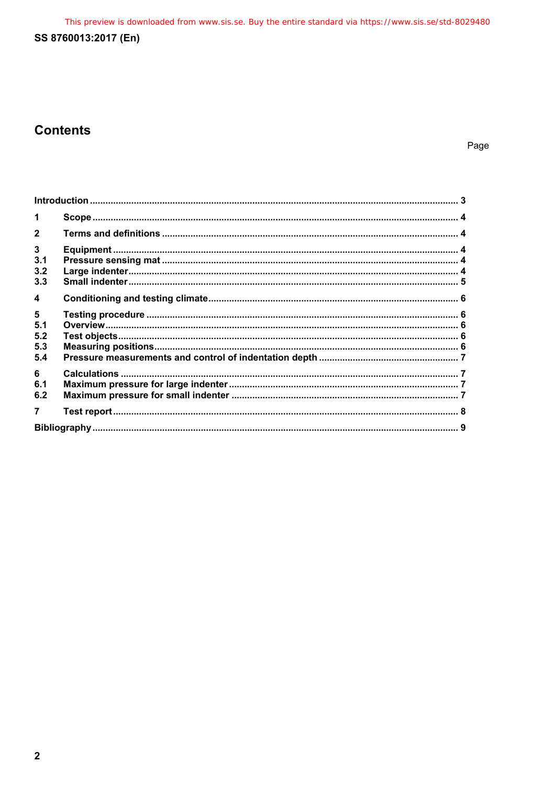This preview is downloaded from www.sis.se. Buy the entire standard via https://www.sis.se/std-8029480

### SS 8760013:2017 (En)

## **Contents**

Page

| $\blacktriangleleft$    |  |  |
|-------------------------|--|--|
| $\mathbf{2}$            |  |  |
| $\mathbf{3}$<br>3.1     |  |  |
| 3.2<br>3.3              |  |  |
| $\overline{\mathbf{4}}$ |  |  |
| 5<br>5.1<br>5.2         |  |  |
| 5.3<br>5.4              |  |  |
| 6<br>6.1<br>6.2         |  |  |
| 7                       |  |  |
|                         |  |  |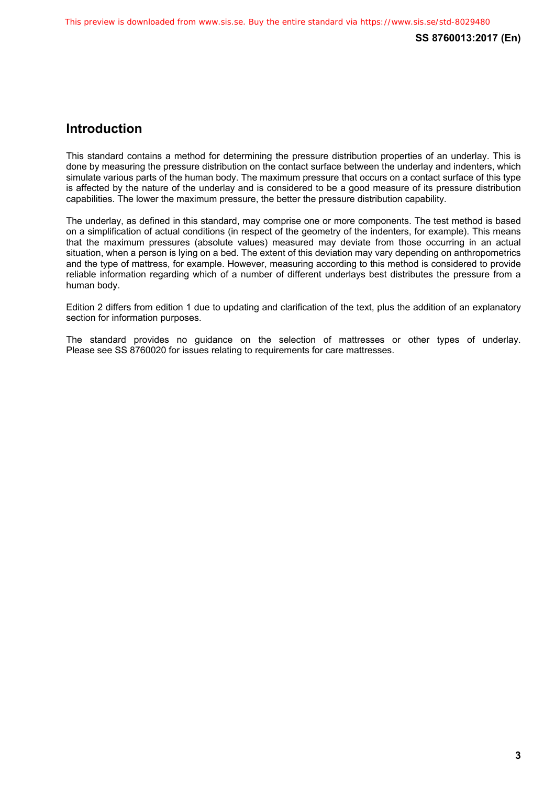### **Introduction**

This standard contains a method for determining the pressure distribution properties of an underlay. This is done by measuring the pressure distribution on the contact surface between the underlay and indenters, which simulate various parts of the human body. The maximum pressure that occurs on a contact surface of this type is affected by the nature of the underlay and is considered to be a good measure of its pressure distribution capabilities. The lower the maximum pressure, the better the pressure distribution capability.

The underlay, as defined in this standard, may comprise one or more components. The test method is based on a simplification of actual conditions (in respect of the geometry of the indenters, for example). This means that the maximum pressures (absolute values) measured may deviate from those occurring in an actual situation, when a person is lying on a bed. The extent of this deviation may vary depending on anthropometrics and the type of mattress, for example. However, measuring according to this method is considered to provide reliable information regarding which of a number of different underlays best distributes the pressure from a human body.

Edition 2 differs from edition 1 due to updating and clarification of the text, plus the addition of an explanatory section for information purposes.

The standard provides no guidance on the selection of mattresses or other types of underlay. Please see SS 8760020 for issues relating to requirements for care mattresses.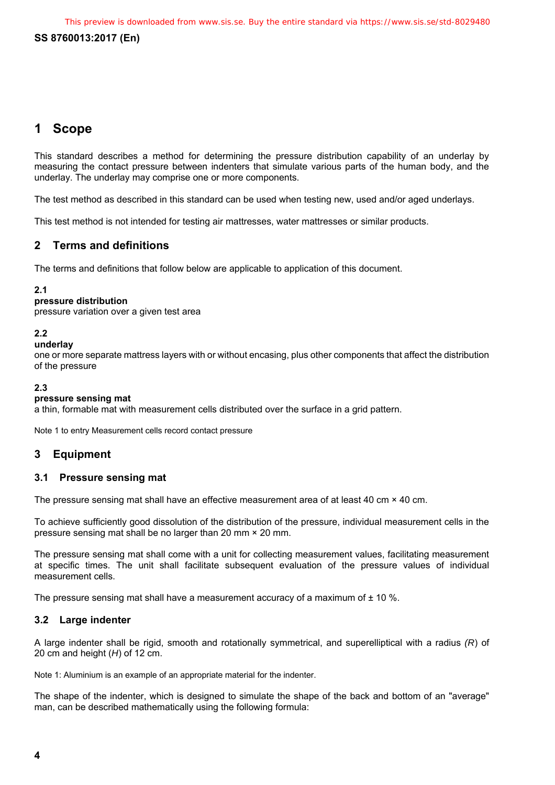#### **SS 8760013:2017 (En)**

### **1 Scope**

This standard describes a method for determining the pressure distribution capability of an underlay by measuring the contact pressure between indenters that simulate various parts of the human body, and the underlay. The underlay may comprise one or more components.

The test method as described in this standard can be used when testing new, used and/or aged underlays.

This test method is not intended for testing air mattresses, water mattresses or similar products.

#### **2 Terms and definitions**

The terms and definitions that follow below are applicable to application of this document.

#### **2.1**

#### **pressure distribution**

pressure variation over a given test area

#### **2.2**

#### **underlay**

one or more separate mattress layers with or without encasing, plus other components that affect the distribution of the pressure

#### **2.3**

#### **pressure sensing mat**

a thin, formable mat with measurement cells distributed over the surface in a grid pattern.

Note 1 to entry Measurement cells record contact pressure

#### **3 Equipment**

#### **3.1 Pressure sensing mat**

The pressure sensing mat shall have an effective measurement area of at least 40 cm × 40 cm.

To achieve sufficiently good dissolution of the distribution of the pressure, individual measurement cells in the pressure sensing mat shall be no larger than 20 mm × 20 mm.

The pressure sensing mat shall come with a unit for collecting measurement values, facilitating measurement at specific times. The unit shall facilitate subsequent evaluation of the pressure values of individual measurement cells.

The pressure sensing mat shall have a measurement accuracy of a maximum of  $\pm$  10 %.

#### **3.2 Large indenter**

A large indenter shall be rigid, smooth and rotationally symmetrical, and superelliptical with a radius *(R*) of 20 cm and height (*H*) of 12 cm.

Note 1: Aluminium is an example of an appropriate material for the indenter.

The shape of the indenter, which is designed to simulate the shape of the back and bottom of an "average" man, can be described mathematically using the following formula: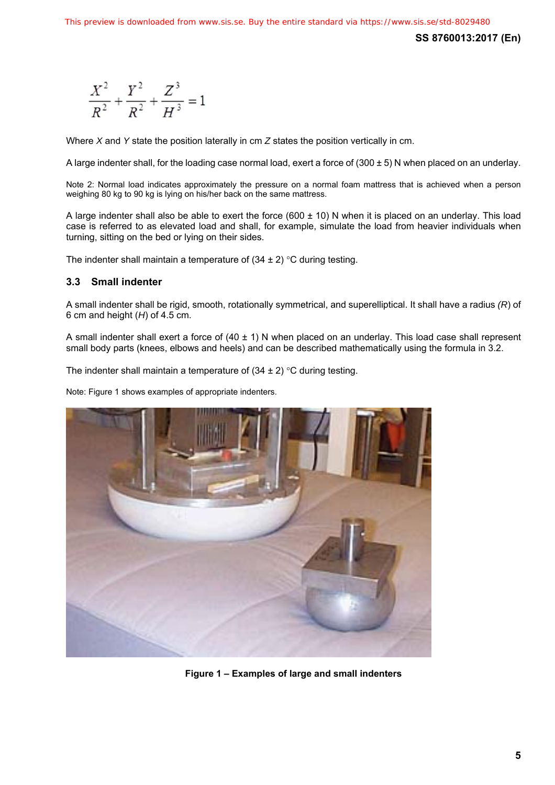**SS 8760013:2017 (En)** 

$$
\frac{X^2}{R^2} + \frac{Y^2}{R^2} + \frac{Z^3}{H^3} = 1
$$

Where *X* and *Y* state the position laterally in cm *Z* states the position vertically in cm.

A large indenter shall, for the loading case normal load, exert a force of (300 ± 5) N when placed on an underlay.

Note 2: Normal load indicates approximately the pressure on a normal foam mattress that is achieved when a person weighing 80 kg to 90 kg is lying on his/her back on the same mattress.

A large indenter shall also be able to exert the force  $(600 \pm 10)$  N when it is placed on an underlay. This load case is referred to as elevated load and shall, for example, simulate the load from heavier individuals when turning, sitting on the bed or lying on their sides.

The indenter shall maintain a temperature of  $(34 \pm 2)$  °C during testing.

#### **3.3 Small indenter**

A small indenter shall be rigid, smooth, rotationally symmetrical, and superelliptical. It shall have a radius *(R*) of 6 cm and height (*H*) of 4.5 cm.

A small indenter shall exert a force of  $(40 \pm 1)$  N when placed on an underlay. This load case shall represent small body parts (knees, elbows and heels) and can be described mathematically using the formula in 3.2.

The indenter shall maintain a temperature of  $(34 \pm 2)$  °C during testing.

Note: Figure 1 shows examples of appropriate indenters.



**Figure 1 – Examples of large and small indenters**